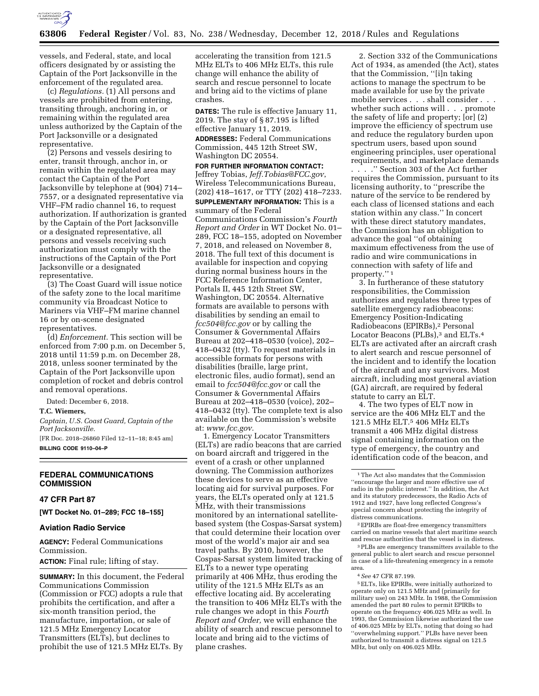

vessels, and Federal, state, and local officers designated by or assisting the Captain of the Port Jacksonville in the enforcement of the regulated area.

(c) *Regulations.* (1) All persons and vessels are prohibited from entering, transiting through, anchoring in, or remaining within the regulated area unless authorized by the Captain of the Port Jacksonville or a designated representative.

(2) Persons and vessels desiring to enter, transit through, anchor in, or remain within the regulated area may contact the Captain of the Port Jacksonville by telephone at (904) 714– 7557, or a designated representative via VHF–FM radio channel 16, to request authorization. If authorization is granted by the Captain of the Port Jacksonville or a designated representative, all persons and vessels receiving such authorization must comply with the instructions of the Captain of the Port Jacksonville or a designated representative.

(3) The Coast Guard will issue notice of the safety zone to the local maritime community via Broadcast Notice to Mariners via VHF–FM marine channel 16 or by on-scene designated representatives.

(d) *Enforcement.* This section will be enforced from 7:00 p.m. on December 5, 2018 until 11:59 p.m. on December 28, 2018, unless sooner terminated by the Captain of the Port Jacksonville upon completion of rocket and debris control and removal operations.

Dated: December 6, 2018.

# **T.C. Wiemers,**

*Captain, U.S. Coast Guard, Captain of the Port Jacksonville.* 

[FR Doc. 2018–26860 Filed 12–11–18; 8:45 am] **BILLING CODE 9110–04–P** 

### **FEDERAL COMMUNICATIONS COMMISSION**

# **47 CFR Part 87**

**[WT Docket No. 01–289; FCC 18–155]** 

### **Aviation Radio Service**

**AGENCY:** Federal Communications Commission.

# **ACTION:** Final rule; lifting of stay.

**SUMMARY:** In this document, the Federal Communications Commission (Commission or FCC) adopts a rule that prohibits the certification, and after a six-month transition period, the manufacture, importation, or sale of 121.5 MHz Emergency Locator Transmitters (ELTs), but declines to prohibit the use of 121.5 MHz ELTs. By

accelerating the transition from 121.5 MHz ELTs to 406 MHz ELTs, this rule change will enhance the ability of search and rescue personnel to locate and bring aid to the victims of plane crashes.

**DATES:** The rule is effective January 11, 2019. The stay of § 87.195 is lifted effective January 11, 2019.

**ADDRESSES:** Federal Communications Commission, 445 12th Street SW, Washington DC 20554.

**FOR FURTHER INFORMATION CONTACT:**  Jeffrey Tobias, *[Jeff.Tobias@FCC.gov](mailto:Jeff.Tobias@FCC.gov)*, Wireless Telecommunications Bureau, (202) 418–1617, or TTY (202) 418–7233. **SUPPLEMENTARY INFORMATION:** This is a

summary of the Federal Communications Commission's *Fourth Report and Order* in WT Docket No. 01– 289, FCC 18–155, adopted on November 7, 2018, and released on November 8, 2018. The full text of this document is available for inspection and copying during normal business hours in the FCC Reference Information Center, Portals II, 445 12th Street SW, Washington, DC 20554. Alternative formats are available to persons with disabilities by sending an email to *[fcc504@fcc.gov](mailto:fcc504@fcc.gov)* or by calling the Consumer & Governmental Affairs Bureau at 202–418–0530 (voice), 202– 418–0432 (tty). To request materials in accessible formats for persons with disabilities (braille, large print, electronic files, audio format), send an email to *[fcc504@fcc.gov](mailto:fcc504@fcc.gov)* or call the Consumer & Governmental Affairs Bureau at 202–418–0530 (voice), 202– 418–0432 (tty). The complete text is also available on the Commission's website at: *[www.fcc.gov.](http://www.fcc.gov)* 

1. Emergency Locator Transmitters (ELTs) are radio beacons that are carried on board aircraft and triggered in the event of a crash or other unplanned downing. The Commission authorizes these devices to serve as an effective locating aid for survival purposes. For years, the ELTs operated only at 121.5 MHz, with their transmissions monitored by an international satellitebased system (the Cospas-Sarsat system) that could determine their location over most of the world's major air and sea travel paths. By 2010, however, the Cospas-Sarsat system limited tracking of ELTs to a newer type operating primarily at 406 MHz, thus eroding the utility of the 121.5 MHz ELTs as an effective locating aid. By accelerating the transition to 406 MHz ELTs with the rule changes we adopt in this *Fourth Report and Order,* we will enhance the ability of search and rescue personnel to locate and bring aid to the victims of plane crashes.

2. Section 332 of the Communications Act of 1934, as amended (the Act), states that the Commission, ''[i]n taking actions to manage the spectrum to be made available for use by the private mobile services . . . shall consider . . . whether such actions will  $\ldots$  promote the safety of life and property; [or] (2) improve the efficiency of spectrum use and reduce the regulatory burden upon spectrum users, based upon sound engineering principles, user operational requirements, and marketplace demands

. . . .'' Section 303 of the Act further requires the Commission, pursuant to its licensing authority, to ''prescribe the nature of the service to be rendered by each class of licensed stations and each station within any class.'' In concert with these direct statutory mandates, the Commission has an obligation to advance the goal ''of obtaining maximum effectiveness from the use of radio and wire communications in connection with safety of life and property."<sup>1</sup>

3. In furtherance of these statutory responsibilities, the Commission authorizes and regulates three types of satellite emergency radiobeacons: Emergency Position-Indicating Radiobeacons (EPIRBs),2 Personal Locator Beacons (PLBs),<sup>3</sup> and ELTs.<sup>4</sup> ELTs are activated after an aircraft crash to alert search and rescue personnel of the incident and to identify the location of the aircraft and any survivors. Most aircraft, including most general aviation (GA) aircraft, are required by federal statute to carry an ELT.

4. The two types of ELT now in service are the 406 MHz ELT and the 121.5 MHz ELT.5 406 MHz ELTs transmit a 406 MHz digital distress signal containing information on the type of emergency, the country and identification code of the beacon, and

2EPIRBs are float-free emergency transmitters carried on marine vessels that alert maritime search and rescue authorities that the vessel is in distress.

3PLBs are emergency transmitters available to the general public to alert search and rescue personnel in case of a life-threatening emergency in a remote area.

5ELTs, like EPIRBs, were initially authorized to operate only on 121.5 MHz and (primarily for military use) on 243 MHz. In 1988, the Commission amended the part 80 rules to permit EPIRBs to operate on the frequency 406.025 MHz as well. In 1993, the Commission likewise authorized the use of 406.025 MHz by ELTs, noting that doing so had ''overwhelming support.'' PLBs have never been authorized to transmit a distress signal on 121.5 MHz, but only on 406.025 MHz.

<sup>1</sup>The Act also mandates that the Commission ''encourage the larger and more effective use of radio in the public interest.'' In addition, the Act and its statutory predecessors, the Radio Acts of 1912 and 1927, have long reflected Congress's special concern about protecting the integrity of distress communications.

<sup>4</sup>*See* 47 CFR 87.199.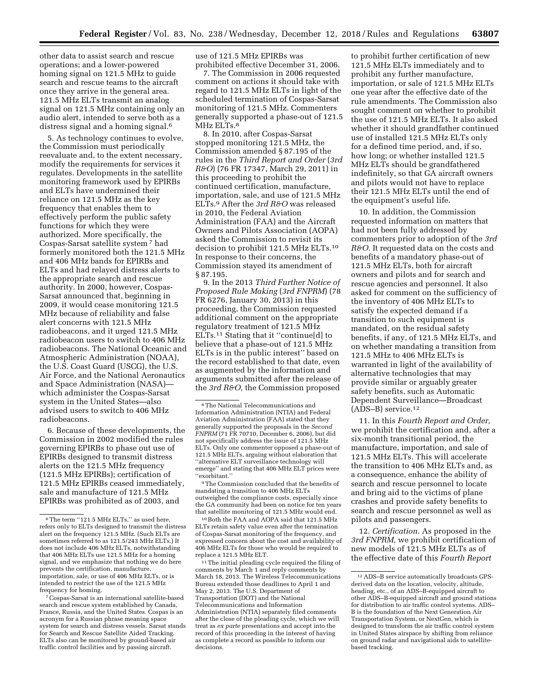other data to assist search and rescue operations; and a lower-powered homing signal on 121.5 MHz to guide search and rescue teams to the aircraft once they arrive in the general area. 121.5 MHz ELTs transmit an analog signal on 121.5 MHz containing only an audio alert, intended to serve both as a distress signal and a homing signal.6

5. As technology continues to evolve, the Commission must periodically reevaluate and, to the extent necessary, modify the requirements for services it regulates. Developments in the satellite monitoring framework used by EPIRBs and ELTs have undermined their reliance on 121.5 MHz as the key frequency that enables them to effectively perform the public safety functions for which they were authorized. More specifically, the Cospas-Sarsat satellite system 7 had formerly monitored both the 121.5 MHz and 406 MHz bands for EPIRBs and ELTs and had relayed distress alerts to the appropriate search and rescue authority. In 2000, however, Cospas-Sarsat announced that, beginning in 2009, it would cease monitoring 121.5 MHz because of reliability and false alert concerns with 121.5 MHz radiobeacons, and it urged 121.5 MHz radiobeacon users to switch to 406 MHz radiobeacons. The National Oceanic and Atmospheric Administration (NOAA), the U.S. Coast Guard (USCG), the U.S. Air Force, and the National Aeronautics and Space Administration (NASA) which administer the Cospas-Sarsat system in the United States—also advised users to switch to 406 MHz radiobeacons.

6. Because of these developments, the Commission in 2002 modified the rules governing EPIRBs to phase out use of EPIRBs designed to transmit distress alerts on the 121.5 MHz frequency (121.5 MHz EPIRBs); certification of 121.5 MHz EPIRBs ceased immediately, sale and manufacture of 121.5 MHz EPIRBs was prohibited as of 2003, and

7Cospas-Sarsat is an international satellite-based search and rescue system established by Canada, France, Russia, and the United States. Cospas is an acronym for a Russian phrase meaning space system for search and distress vessels. Sarsat stands for Search and Rescue Satellite Aided Tracking. ELTs also can be monitored by ground-based air traffic control facilities and by passing aircraft.

use of 121.5 MHz EPIRBs was prohibited effective December 31, 2006.

7. The Commission in 2006 requested comment on actions it should take with regard to 121.5 MHz ELTs in light of the scheduled termination of Cospas-Sarsat monitoring of 121.5 MHz. Commenters generally supported a phase-out of 121.5 MHz ELTs.<sup>8</sup>

8. In 2010, after Cospas-Sarsat stopped monitoring 121.5 MHz, the Commission amended § 87.195 of the rules in the *Third Report and Order* (*3rd R&O*) (76 FR 17347, March 29, 2011) in this proceeding to prohibit the continued certification, manufacture, importation, sale, and use of 121.5 MHz ELTs.9 After the *3rd R&O* was released in 2010, the Federal Aviation Administration (FAA) and the Aircraft Owners and Pilots Association (AOPA) asked the Commission to revisit its decision to prohibit 121.5 MHz ELTs.10 In response to their concerns, the Commission stayed its amendment of § 87.195.

9. In the 2013 *Third Further Notice of Proposed Rule Making* (*3rd FNPRM*) (78 FR 6276, January 30, 2013) in this proceeding, the Commission requested additional comment on the appropriate regulatory treatment of 121.5 MHz ELTs.11 Stating that it ''continue[d] to believe that a phase-out of 121.5 MHz ELTs is in the public interest'' based on the record established to that date, even as augmented by the information and arguments submitted after the release of the *3rd R&O,* the Commission proposed

9The Commission concluded that the benefits of mandating a transition to 406 MHz ELTs outweighed the compliance costs, especially since the GA community had been on notice for ten years that satellite monitoring of 121.5 MHz would end.

10Both the FAA and AOPA said that 121.5 MHz ELTs retain safety value even after the termination of Cospas-Sarsat monitoring of the frequency, and expressed concern about the cost and availability of 406 MHz ELTs for those who would be required to replace a 121.5 MHz ELT.

<sup>11</sup> The initial pleading cycle required the filing of comments by March 1 and reply comments by March 18, 2013. The Wireless Telecommunications Bureau extended those deadlines to April 1 and May 2, 2013. The U.S. Department of Transportation (DOT) and the National Telecommunications and Information Administration (NTIA) separately filed comments after the close of the pleading cycle, which we will treat as *ex parte* presentations and accept into the record of this proceeding in the interest of having as complete a record as possible to inform our decisions.

to prohibit further certification of new 121.5 MHz ELTs immediately and to prohibit any further manufacture, importation, or sale of 121.5 MHz ELTs one year after the effective date of the rule amendments. The Commission also sought comment on whether to prohibit the use of 121.5 MHz ELTs. It also asked whether it should grandfather continued use of installed 121.5 MHz ELTs only for a defined time period, and, if so, how long; or whether installed 121.5 MHz ELTs should be grandfathered indefinitely, so that GA aircraft owners and pilots would not have to replace their 121.5 MHz ELTs until the end of the equipment's useful life.

10. In addition, the Commission requested information on matters that had not been fully addressed by commenters prior to adoption of the *3rd R&O.* It requested data on the costs and benefits of a mandatory phase-out of 121.5 MHz ELTs, both for aircraft owners and pilots and for search and rescue agencies and personnel. It also asked for comment on the sufficiency of the inventory of 406 MHz ELTs to satisfy the expected demand if a transition to such equipment is mandated, on the residual safety benefits, if any, of 121.5 MHz ELTs, and on whether mandating a transition from 121.5 MHz to 406 MHz ELTs is warranted in light of the availability of alternative technologies that may provide similar or arguably greater safety benefits, such as Automatic Dependent Surveillance—Broadcast (ADS–B) service.12

11. In this *Fourth Report and Order,*  we prohibit the certification and, after a six-month transitional period, the manufacture, importation, and sale of 121.5 MHz ELTs. This will accelerate the transition to 406 MHz ELTs and, as a consequence, enhance the ability of search and rescue personnel to locate and bring aid to the victims of plane crashes and provide safety benefits to search and rescue personnel as well as pilots and passengers.

12. *Certification.* As proposed in the *3rd FNPRM,* we prohibit certification of new models of 121.5 MHz ELTs as of the effective date of this *Fourth Report* 

<sup>&</sup>lt;sup>6</sup>The term "121.5 MHz ELTs," as used here, refers only to ELTs designed to transmit the distress alert on the frequency 121.5 MHz. (Such ELTs are sometimes referred to as 121.5/243 MHz ELTs.) It does not include 406 MHz ELTs, notwithstanding that 406 MHz ELTs use 121.5 MHz for a homing signal, and we emphasize that nothing we do here prevents the certification, manufacture, importation, sale, or use of 406 MHz ELTs, or is intended to restrict the use of the 121.5 MHz frequency for homing.

<sup>8</sup>The National Telecommunications and Information Administration (NTIA) and Federal Aviation Administration (FAA) stated that they generally supported the proposals in the *Second FNPRM* (71 FR 70710, December 6, 2006), but did not specifically address the issue of 121.5 MHz ELTs. Only one commenter opposed a phase-out of 121.5 MHz ELTs, arguing without elaboration that ''alternative ELT surveillance technology will emerge'' and stating that 406 MHz ELT prices were ''exorbitant.''

<sup>12</sup>ADS–B service automatically broadcasts GPSderived data on the location, velocity, altitude, heading, etc., of an ADS–B-equipped aircraft to other ADS–B-equipped aircraft and ground stations for distribution to air traffic control systems. ADS– B is the foundation of the Next Generation Air Transportation System, or NextGen, which is designed to transform the air traffic control system in United States airspace by shifting from reliance on ground radar and navigational aids to satellitebased tracking.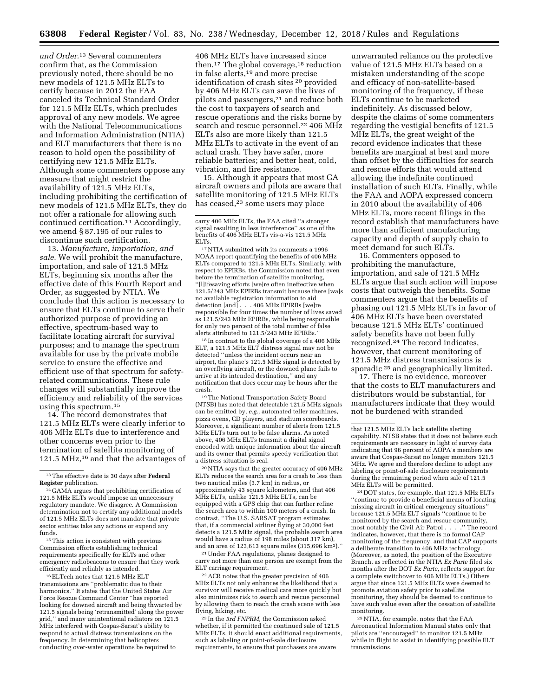*and Order.*13 Several commenters confirm that, as the Commission previously noted, there should be no new models of 121.5 MHz ELTs to certify because in 2012 the FAA canceled its Technical Standard Order for 121.5 MHz ELTs, which precludes approval of any new models. We agree with the National Telecommunications and Information Administration (NTIA) and ELT manufacturers that there is no reason to hold open the possibility of certifying new 121.5 MHz ELTs. Although some commenters oppose any measure that might restrict the availability of 121.5 MHz ELTs, including prohibiting the certification of new models of 121.5 MHz ELTs, they do not offer a rationale for allowing such continued certification.14 Accordingly, we amend § 87.195 of our rules to discontinue such certification.

13. *Manufacture, importation, and sale.* We will prohibit the manufacture, importation, and sale of 121.5 MHz ELTs, beginning six months after the effective date of this Fourth Report and Order, as suggested by NTIA. We conclude that this action is necessary to ensure that ELTs continue to serve their authorized purpose of providing an effective, spectrum-based way to facilitate locating aircraft for survival purposes; and to manage the spectrum available for use by the private mobile service to ensure the effective and efficient use of that spectrum for safetyrelated communications. These rule changes will substantially improve the efficiency and reliability of the services using this spectrum.15

14. The record demonstrates that 121.5 MHz ELTs were clearly inferior to 406 MHz ELTs due to interference and other concerns even prior to the termination of satellite monitoring of 121.5 MHz,<sup>16</sup> and that the advantages of

15This action is consistent with previous Commission efforts establishing technical requirements specifically for ELTs and other emergency radiobeacons to ensure that they work efficiently and reliably as intended.

16ELTech notes that 121.5 MHz ELT transmissions are ''problematic due to their harmonics.'' It states that the United States Air Force Rescue Command Center ''has reported looking for downed aircraft and being thwarted by 121.5 signals being 'retransmitted' along the power grid,'' and many unintentional radiators on 121.5 MHz interfered with Cospas-Sarsat's ability to respond to actual distress transmissions on the frequency. In determining that helicopters conducting over-water operations be required to

406 MHz ELTs have increased since then.<sup>17</sup> The global coverage,<sup>18</sup> reduction in false alerts,19 and more precise identification of crash sites 20 provided by 406 MHz ELTs can save the lives of pilots and passengers,21 and reduce both the cost to taxpayers of search and rescue operations and the risks borne by search and rescue personnel.<sup>22</sup> 406 MHz ELTs also are more likely than 121.5 MHz ELTs to activate in the event of an actual crash. They have safer, more reliable batteries; and better heat, cold, vibration, and fire resistance.

15. Although it appears that most GA aircraft owners and pilots are aware that satellite monitoring of 121.5 MHz ELTs has ceased,<sup>23</sup> some users may place

<sup>17</sup>NTIA submitted with its comments a 1996 NOAA report quantifying the benefits of 406 MHz ELTs compared to 121.5 MHz ELTs. Similarly, with respect to EPIRBs, the Commission noted that even before the termination of satellite monitoring, ''[l]ifesaving efforts [we]re often ineffective when 121.5/243 MHz EPIRBs transmit because there [wa]s no available registration information to aid detection [and] . . . 406 MHz EPIRBs [we]re responsible for four times the number of lives saved as 121.5/243 MHz EPIRBs, while being responsible for only two percent of the total number of false alerts attributed to 121.5/243 MHz EPIRBs.''

18 In contrast to the global coverage of a 406 MHz ELT, a 121.5 MHz ELT distress signal may not be detected ''unless the incident occurs near an airport, the plane's 121.5 MHz signal is detected by an overflying aircraft, or the downed plane fails to arrive at its intended destination,'' and any notification that does occur may be hours after the crash.

19The National Transportation Safety Board (NTSB) has noted that detectable 121.5 MHz signals can be emitted by, *e.g.,* automated teller machines, pizza ovens, CD players, and stadium scoreboards. Moreover, a significant number of alerts from 121.5 MHz ELTs turn out to be false alarms. As noted above, 406 MHz ELTs transmit a digital signal encoded with unique information about the aircraft and its owner that permits speedy verification that a distress situation is real.

20NTIA says that the greater accuracy of 406 MHz ELTs reduces the search area for a crash to less than two nautical miles (3.7 km) in radius, or approximately 43 square kilometers, and that 406 MHz ELTs, unlike 121.5 MHz ELTs, can be equipped with a GPS chip that can further refine the search area to within 100 meters of a crash. In contrast, ''The U.S. SARSAT program estimates that, if a commercial airliner flying at 30,000 feet detects a 121.5 MHz signal, the probable search area would have a radius of 198 miles (about 317 km), and an area of 123,613 square miles (315,696 km2).''

21Under FAA regulations, planes designed to carry not more than one person are exempt from the ELT carriage requirement.

22ACR notes that the greater precision of 406 MHz ELTs not only enhances the likelihood that a survivor will receive medical care more quickly but also minimizes risk to search and rescue personnel by allowing them to reach the crash scene with less flying, hiking, etc.

23 In the *3rd FNPRM,* the Commission asked whether, if it permitted the continued sale of 121.5 MHz ELTs, it should enact additional requirements, such as labeling or point-of-sale disclosure requirements, to ensure that purchasers are aware

unwarranted reliance on the protective value of 121.5 MHz ELTs based on a mistaken understanding of the scope and efficacy of non-satellite-based monitoring of the frequency, if these ELTs continue to be marketed indefinitely. As discussed below, despite the claims of some commenters regarding the vestigial benefits of 121.5 MHz ELTs, the great weight of the record evidence indicates that these benefits are marginal at best and more than offset by the difficulties for search and rescue efforts that would attend allowing the indefinite continued installation of such ELTs. Finally, while the FAA and AOPA expressed concern in 2010 about the availability of 406 MHz ELTs, more recent filings in the record establish that manufacturers have more than sufficient manufacturing capacity and depth of supply chain to meet demand for such ELTs.

16. Commenters opposed to prohibiting the manufacture, importation, and sale of 121.5 MHz ELTs argue that such action will impose costs that outweigh the benefits. Some commenters argue that the benefits of phasing out 121.5 MHz ELTs in favor of 406 MHz ELTs have been overstated because 121.5 MHz ELTs' continued safety benefits have not been fully recognized.24 The record indicates, however, that current monitoring of 121.5 MHz distress transmissions is sporadic 25 and geographically limited.

17. There is no evidence, moreover that the costs to ELT manufacturers and distributors would be substantial, for manufacturers indicate that they would not be burdened with stranded

 $\rm ^{24}$  DOT states, for example, that 121.5 MHz ELTs ''continue to provide a beneficial means of locating missing aircraft in critical emergency situations'' because 121.5 MHz ELT signals ''continue to be monitored by the search and rescue community, most notably the Civil Air Patrol . . . .'' The record indicates, however, that there is no formal CAP monitoring of the frequency, and that CAP supports a deliberate transition to 406 MHz technology. (Moreover, as noted, the position of the Executive Branch, as reflected in the NTIA *Ex Parte* filed six months after the DOT *Ex Parte,* reflects support for a complete switchover to 406 MHz ELTs.) Others argue that since 121.5 MHz ELTs were deemed to promote aviation safety prior to satellite monitoring, they should be deemed to continue to have such value even after the cessation of satellite monitoring.

25NTIA, for example, notes that the FAA Aeronautical Information Manual states only that pilots are ''encouraged'' to monitor 121.5 MHz while in flight to assist in identifying possible ELT transmissions.

<sup>13</sup>The effective date is 30 days after **Federal Register** publication.

<sup>14</sup> GAMA argues that prohibiting certification of 121.5 MHz ELTs would impose an unnecessary regulatory mandate. We disagree. A Commission determination not to certify any additional models of 121.5 MHz ELTs does not mandate that private sector entities take any actions or expend any funds.

carry 406 MHz ELTs, the FAA cited ''a stronger signal resulting in less interference'' as one of the benefits of 406 MHz ELTs vis-a-vis 121.5 MHz ELTs.

that 121.5 MHz ELTs lack satellite alerting capability. NTSB states that it does not believe such requirements are necessary in light of survey data indicating that 96 percent of AOPA's members are aware that Cospas-Sarsat no longer monitors 121.5 MHz. We agree and therefore decline to adopt any labeling or point-of-sale disclosure requirements during the remaining period when sale of 121.5 MHz ELTs will be permitted.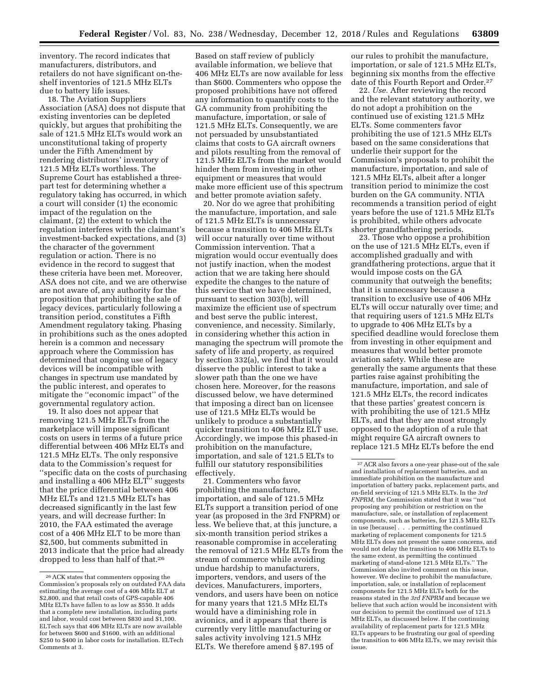inventory. The record indicates that manufacturers, distributors, and retailers do not have significant on-theshelf inventories of 121.5 MHz ELTs due to battery life issues.

18. The Aviation Suppliers Association (ASA) does not dispute that existing inventories can be depleted quickly, but argues that prohibiting the sale of 121.5 MHz ELTs would work an unconstitutional taking of property under the Fifth Amendment by rendering distributors' inventory of 121.5 MHz ELTs worthless. The Supreme Court has established a threepart test for determining whether a regulatory taking has occurred, in which a court will consider (1) the economic impact of the regulation on the claimant, (2) the extent to which the regulation interferes with the claimant's investment-backed expectations, and (3) the character of the government regulation or action. There is no evidence in the record to suggest that these criteria have been met. Moreover, ASA does not cite, and we are otherwise are not aware of, any authority for the proposition that prohibiting the sale of legacy devices, particularly following a transition period, constitutes a Fifth Amendment regulatory taking. Phasing in prohibitions such as the ones adopted herein is a common and necessary approach where the Commission has determined that ongoing use of legacy devices will be incompatible with changes in spectrum use mandated by the public interest, and operates to mitigate the ''economic impact'' of the governmental regulatory action.

19. It also does not appear that removing 121.5 MHz ELTs from the marketplace will impose significant costs on users in terms of a future price differential between 406 MHz ELTs and 121.5 MHz ELTs. The only responsive data to the Commission's request for ''specific data on the costs of purchasing and installing a 406 MHz ELT'' suggests that the price differential between 406 MHz ELTs and 121.5 MHz ELTs has decreased significantly in the last few years, and will decrease further: In 2010, the FAA estimated the average cost of a 406 MHz ELT to be more than \$2,500, but comments submitted in 2013 indicate that the price had already dropped to less than half of that.26

Based on staff review of publicly available information, we believe that 406 MHz ELTs are now available for less than \$600. Commenters who oppose the proposed prohibitions have not offered any information to quantify costs to the GA community from prohibiting the manufacture, importation, or sale of 121.5 MHz ELTs. Consequently, we are not persuaded by unsubstantiated claims that costs to GA aircraft owners and pilots resulting from the removal of 121.5 MHz ELTs from the market would hinder them from investing in other equipment or measures that would make more efficient use of this spectrum and better promote aviation safety.

20. Nor do we agree that prohibiting the manufacture, importation, and sale of 121.5 MHz ELTs is unnecessary because a transition to 406 MHz ELTs will occur naturally over time without Commission intervention. That a migration would occur eventually does not justify inaction, when the modest action that we are taking here should expedite the changes to the nature of this service that we have determined, pursuant to section 303(b), will maximize the efficient use of spectrum and best serve the public interest, convenience, and necessity. Similarly, in considering whether this action in managing the spectrum will promote the safety of life and property, as required by section 332(a), we find that it would disserve the public interest to take a slower path than the one we have chosen here. Moreover, for the reasons discussed below, we have determined that imposing a direct ban on licensee use of 121.5 MHz ELTs would be unlikely to produce a substantially quicker transition to 406 MHz ELT use. Accordingly, we impose this phased-in prohibition on the manufacture, importation, and sale of 121.5 ELTs to fulfill our statutory responsibilities effectively.

21. Commenters who favor prohibiting the manufacture, importation, and sale of 121.5 MHz ELTs support a transition period of one year (as proposed in the 3rd FNPRM) or less. We believe that, at this juncture, a six-month transition period strikes a reasonable compromise in accelerating the removal of 121.5 MHz ELTs from the stream of commerce while avoiding undue hardship to manufacturers, importers, vendors, and users of the devices. Manufacturers, importers, vendors, and users have been on notice for many years that 121.5 MHz ELTs would have a diminishing role in avionics, and it appears that there is currently very little manufacturing or sales activity involving 121.5 MHz ELTs. We therefore amend § 87.195 of

our rules to prohibit the manufacture, importation, or sale of 121.5 MHz ELTs, beginning six months from the effective date of this Fourth Report and Order.27

22. *Use.* After reviewing the record and the relevant statutory authority, we do not adopt a prohibition on the continued use of existing 121.5 MHz ELTs. Some commenters favor prohibiting the use of 121.5 MHz ELTs based on the same considerations that underlie their support for the Commission's proposals to prohibit the manufacture, importation, and sale of 121.5 MHz ELTs, albeit after a longer transition period to minimize the cost burden on the GA community. NTIA recommends a transition period of eight years before the use of 121.5 MHz ELTs is prohibited, while others advocate shorter grandfathering periods.

23. Those who oppose a prohibition on the use of 121.5 MHz ELTs, even if accomplished gradually and with grandfathering protections, argue that it would impose costs on the GA community that outweigh the benefits; that it is unnecessary because a transition to exclusive use of 406 MHz ELTs will occur naturally over time; and that requiring users of 121.5 MHz ELTs to upgrade to 406 MHz ELTs by a specified deadline would foreclose them from investing in other equipment and measures that would better promote aviation safety. While these are generally the same arguments that these parties raise against prohibiting the manufacture, importation, and sale of 121.5 MHz ELTs, the record indicates that these parties' greatest concern is with prohibiting the use of 121.5 MHz ELTs, and that they are most strongly opposed to the adoption of a rule that might require GA aircraft owners to replace 121.5 MHz ELTs before the end

<sup>26</sup>ACK states that commenters opposing the Commission's proposals rely on outdated FAA data estimating the average cost of a 406 MHz ELT at \$2,800, and that retail costs of GPS-capable 406 MHz ELTs have fallen to as low as \$550. It adds that a complete new installation, including parts and labor, would cost between \$830 and \$1,100. ELTech says that 406 MHz ELTs are now available for between \$600 and \$1600, with an additional \$250 to \$400 in labor costs for installation. ELTech Comments at 3.

<sup>27</sup>ACR also favors a one-year phase-out of the sale and installation of replacement batteries, and an immediate prohibition on the manufacture and importation of battery packs, replacement parts, and on-field servicing of 121.5 MHz ELTs. In the *3rd FNPRM,* the Commission stated that it was ''not proposing any prohibition or restriction on the manufacture, sale, or installation of replacement components, such as batteries, for 121.5 MHz ELTs in use [because] . . . permitting the continued marketing of replacement components for 121.5 MHz ELTs does not present the same concerns, and would not delay the transition to 406 MHz ELTs to the same extent, as permitting the continued marketing of stand-alone 121.5 MHz ELTs.'' The Commission also invited comment on this issue, however. We decline to prohibit the manufacture, importation, sale, or installation of replacement components for 121.5 MHz ELTs both for the reasons stated in the *3rd FNPRM* and because we believe that such action would be inconsistent with our decision to permit the continued use of 121.5 MHz ELTs, as discussed below. If the continuing availability of replacement parts for 121.5 MHz ELTs appears to be frustrating our goal of speeding the transition to 406 MHz ELTs, we may revisit this issue.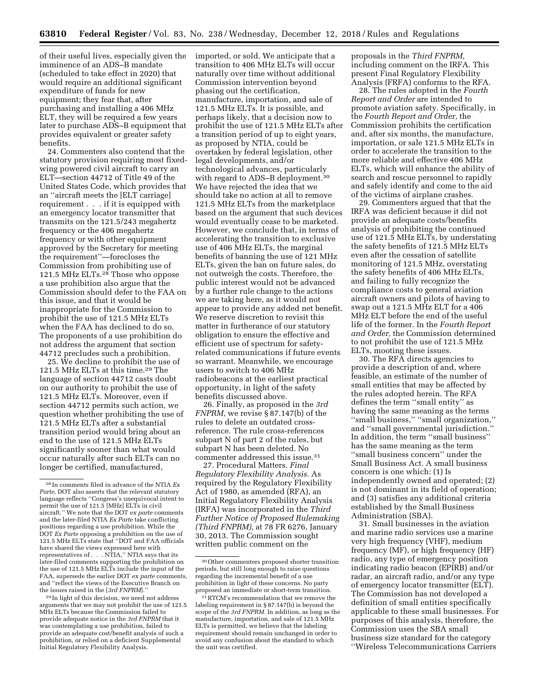of their useful lives, especially given the imminence of an ADS–B mandate (scheduled to take effect in 2020) that would require an additional significant expenditure of funds for new equipment; they fear that, after purchasing and installing a 406 MHz ELT, they will be required a few years later to purchase ADS–B equipment that provides equivalent or greater safety benefits.

24. Commenters also contend that the statutory provision requiring most fixedwing powered civil aircraft to carry an ELT—section 44712 of Title 49 of the United States Code, which provides that an ''aircraft meets the [ELT carriage] requirement . . . if it is equipped with an emergency locator transmitter that transmits on the 121.5/243 megahertz frequency or the 406 megahertz frequency or with other equipment approved by the Secretary for meeting the requirement''—forecloses the Commission from prohibiting use of 121.5 MHz ELTs.28 Those who oppose a use prohibition also argue that the Commission should defer to the FAA on this issue, and that it would be inappropriate for the Commission to prohibit the use of 121.5 MHz ELTs when the FAA has declined to do so. The proponents of a use prohibition do not address the argument that section 44712 precludes such a prohibition.

25. We decline to prohibit the use of 121.5 MHz ELTs at this time.29 The language of section 44712 casts doubt on our authority to prohibit the use of 121.5 MHz ELTs. Moreover, even if section 44712 permits such action, we question whether prohibiting the use of 121.5 MHz ELTs after a substantial transition period would bring about an end to the use of 121.5 MHz ELTs significantly sooner than what would occur naturally after such ELTs can no longer be certified, manufactured,

29 In light of this decision, we need not address arguments that we may not prohibit the use of 121.5 MHz ELTs because the Commission failed to provide adequate notice in the *3rd FNPRM* that it was contemplating a use prohibition, failed to provide an adequate cost/benefit analysis of such a prohibition, or relied on a deficient Supplemental Initial Regulatory Flexibility Analysis.

imported, or sold. We anticipate that a transition to 406 MHz ELTs will occur naturally over time without additional Commission intervention beyond phasing out the certification, manufacture, importation, and sale of 121.5 MHz ELTs. It is possible, and perhaps likely, that a decision now to prohibit the use of 121.5 MHz ELTs after a transition period of up to eight years, as proposed by NTIA, could be overtaken by federal legislation, other legal developments, and/or technological advances, particularly with regard to ADS–B deployment.30 We have rejected the idea that we should take no action at all to remove 121.5 MHz ELTs from the marketplace based on the argument that such devices would eventually cease to be marketed. However, we conclude that, in terms of accelerating the transition to exclusive use of 406 MHz ELTs, the marginal benefits of banning the use of 121 MHz ELTs, given the ban on future sales, do not outweigh the costs. Therefore, the public interest would not be advanced by a further rule change to the actions we are taking here, as it would not appear to provide any added net benefit. We reserve discretion to revisit this matter in furtherance of our statutory obligation to ensure the effective and efficient use of spectrum for safetyrelated communications if future events so warrant. Meanwhile, we encourage users to switch to 406 MHz radiobeacons at the earliest practical opportunity, in light of the safety benefits discussed above.

26. Finally, as proposed in the *3rd FNPRM,* we revise § 87.147(b) of the rules to delete an outdated crossreference. The rule cross-references subpart N of part 2 of the rules, but subpart N has been deleted. No commenter addressed this issue.31

27. Procedural Matters. *Final Regulatory Flexibility Analysis.* As required by the Regulatory Flexibility Act of 1980, as amended (RFA), an Initial Regulatory Flexibility Analysis (IRFA) was incorporated in the *Third Further Notice of Proposed Rulemaking (Third FNPRM),* at 78 FR 6276, January 30, 2013. The Commission sought written public comment on the

proposals in the *Third FNPRM,*  including comment on the IRFA. This present Final Regulatory Flexibility Analysis (FRFA) conforms to the RFA.

28. The rules adopted in the *Fourth Report and Order* are intended to promote aviation safety. Specifically, in the *Fourth Report and Order,* the Commission prohibits the certification and, after six months, the manufacture, importation, or sale 121.5 MHz ELTs in order to accelerate the transition to the more reliable and effective 406 MHz ELTs, which will enhance the ability of search and rescue personnel to rapidly and safely identify and come to the aid of the victims of airplane crashes.

29. Commenters argued that that the IRFA was deficient because it did not provide an adequate costs/benefits analysis of prohibiting the continued use of 121.5 MHz ELTs, by understating the safety benefits of 121.5 MHz ELTs even after the cessation of satellite monitoring of 121.5 MHz, overstating the safety benefits of 406 MHz ELTs, and failing to fully recognize the compliance costs to general aviation aircraft owners and pilots of having to swap out a 121.5 MHz ELT for a 406 MHz ELT before the end of the useful life of the former. In the *Fourth Report and Order,* the Commission determined to not prohibit the use of 121.5 MHz ELTs, mooting these issues.

30. The RFA directs agencies to provide a description of and, where feasible, an estimate of the number of small entities that may be affected by the rules adopted herein. The RFA defines the term ''small entity'' as having the same meaning as the terms ''small business,'' ''small organization,'' and ''small governmental jurisdiction.'' In addition, the term ''small business'' has the same meaning as the term ''small business concern'' under the Small Business Act. A small business concern is one which: (1) Is independently owned and operated; (2) is not dominant in its field of operation; and (3) satisfies any additional criteria established by the Small Business Administration (SBA).

31. Small businesses in the aviation and marine radio services use a marine very high frequency (VHF), medium frequency (MF), or high frequency (HF) radio, any type of emergency position indicating radio beacon (EPIRB) and/or radar, an aircraft radio, and/or any type of emergency locator transmitter (ELT). The Commission has not developed a definition of small entities specifically applicable to these small businesses. For purposes of this analysis, therefore, the Commission uses the SBA small business size standard for the category ''Wireless Telecommunications Carriers

<sup>28</sup> In comments filed in advance of the NTIA *Ex Parte,* DOT also asserts that the relevant statutory language reflects ''Congress's unequivocal intent to permit the use of 121.5 [MHz] ELTs in civil aircraft.'' We note that the DOT *ex parte* comments and the later-filed NTIA *Ex Parte* take conflicting positions regarding a use prohibition. While the DOT *Ex Parte* opposing a prohibition on the use of 121.5 MHz ELTs state that ''DOT and FAA officials have shared the views expressed here with representatives of . . . NTIA,'' NTIA says that its later-filed comments supporting the prohibition on the use of 121.5 MHz ELTs include the input of the FAA, supersede the earlier DOT *ex parte* comments, and ''reflect the views of the Executive Branch on the issues raised in the [*3rd FNPRM*].''

<sup>30</sup>Other commenters proposed shorter transition periods, but still long enough to raise questions regarding the incremental benefit of a use prohibition in light of these concerns. No party proposed an immediate or short-term transition.

<sup>31</sup>RTCM's recommendation that we remove the labeling requirement in § 87.147(b) is beyond the scope of the *3rd FNPRM.* In addition, as long as the manufacture, importation, and sale of 121.5 MHz ELTs is permitted, we believe that the labeling requirement should remain unchanged in order to avoid any confusion about the standard to which the unit was certified.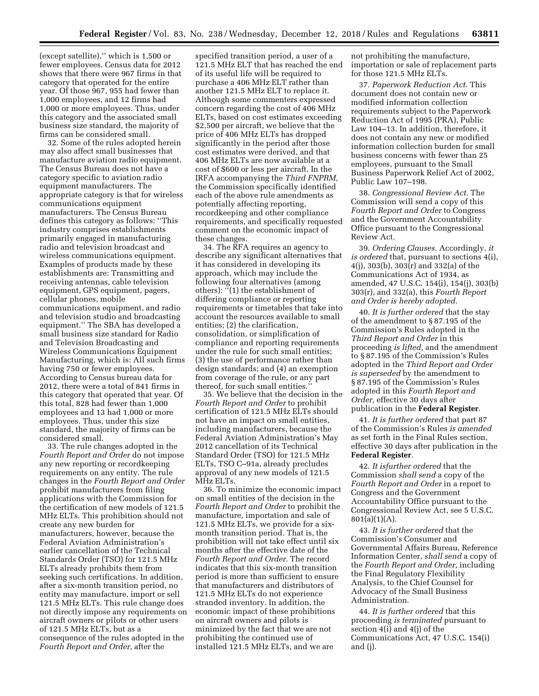(except satellite),'' which is 1,500 or fewer employees. Census data for 2012 shows that there were 967 firms in that category that operated for the entire year. Of those 967, 955 had fewer than 1,000 employees, and 12 firms had 1,000 or more employees. Thus, under this category and the associated small business size standard, the majority of firms can be considered small.

32. Some of the rules adopted herein may also affect small businesses that manufacture aviation radio equipment. The Census Bureau does not have a category specific to aviation radio equipment manufacturers. The appropriate category is that for wireless communications equipment manufacturers. The Census Bureau defines this category as follows: ''This industry comprises establishments primarily engaged in manufacturing radio and television broadcast and wireless communications equipment. Examples of products made by these establishments are: Transmitting and receiving antennas, cable television equipment, GPS equipment, pagers, cellular phones, mobile communications equipment, and radio and television studio and broadcasting equipment.'' The SBA has developed a small business size standard for Radio and Television Broadcasting and Wireless Communications Equipment Manufacturing, which is: All such firms having 750 or fewer employees. According to Census bureau data for 2012, there were a total of 841 firms in this category that operated that year. Of this total, 828 had fewer than 1,000 employees and 13 had 1,000 or more employees. Thus, under this size standard, the majority of firms can be considered small.

33. The rule changes adopted in the *Fourth Report and Order* do not impose any new reporting or recordkeeping requirements on any entity. The rule changes in the *Fourth Report and Order*  prohibit manufacturers from filing applications with the Commission for the certification of new models of 121.5 MHz ELTs. This prohibition should not create any new burden for manufacturers, however, because the Federal Aviation Administration's earlier cancellation of the Technical Standards Order (TSO) for 121.5 MHz ELTs already prohibits them from seeking such certifications. In addition, after a six-month transition period, no entity may manufacture, import or sell 121.5 MHz ELTs. This rule change does not directly impose any requirements on aircraft owners or pilots or other users of 121.5 MHz ELTs, but as a consequence of the rules adopted in the *Fourth Report and Order,* after the

specified transition period, a user of a 121.5 MHz ELT that has reached the end of its useful life will be required to purchase a 406 MHz ELT rather than another 121.5 MHz ELT to replace it. Although some commenters expressed concern regarding the cost of 406 MHz ELTs, based on cost estimates exceeding \$2,500 per aircraft, we believe that the price of 406 MHz ELTs has dropped significantly in the period after those cost estimates were derived, and that 406 MHz ELTs are now available at a cost of \$600 or less per aircraft. In the IRFA accompanying the *Third FNPRM,*  the Commission specifically identified each of the above rule amendments as potentially affecting reporting, recordkeeping and other compliance requirements, and specifically requested comment on the economic impact of these changes.

34. The RFA requires an agency to describe any significant alternatives that it has considered in developing its approach, which may include the following four alternatives (among others): ''(1) the establishment of differing compliance or reporting requirements or timetables that take into account the resources available to small entities; (2) the clarification, consolidation, or simplification of compliance and reporting requirements under the rule for such small entities; (3) the use of performance rather than design standards; and (4) an exemption from coverage of the rule, or any part thereof, for such small entities.''

35. We believe that the decision in the *Fourth Report and Order* to prohibit certification of 121.5 MHz ELTs should not have an impact on small entities, including manufacturers, because the Federal Aviation Administration's May 2012 cancellation of its Technical Standard Order (TSO) for 121.5 MHz ELTs, TSO C–91a, already precludes approval of any new models of 121.5 MHz ELTs.

36. To minimize the economic impact on small entities of the decision in the *Fourth Report and Order* to prohibit the manufacture, importation and sale of 121.5 MHz ELTs, we provide for a sixmonth transition period. That is, the prohibition will not take effect until six months after the effective date of the *Fourth Report and Order.* The record indicates that this six-month transition period is more than sufficient to ensure that manufacturers and distributors of 121.5 MHz ELTs do not experience stranded inventory. In addition, the economic impact of these prohibitions on aircraft owners and pilots is minimized by the fact that we are not prohibiting the continued use of installed 121.5 MHz ELTs, and we are

not prohibiting the manufacture, importation or sale of replacement parts for those 121.5 MHz ELTs.

37. *Paperwork Reduction Act.* This document does not contain new or modified information collection requirements subject to the Paperwork Reduction Act of 1995 (PRA), Public Law 104–13. In addition, therefore, it does not contain any new or modified information collection burden for small business concerns with fewer than 25 employees, pursuant to the Small Business Paperwork Relief Act of 2002, Public Law 107–198.

38. *Congressional Review Act.* The Commission will send a copy of this *Fourth Report and Order* to Congress and the Government Accountability Office pursuant to the Congressional Review Act.

39. *Ordering Clauses.* Accordingly, *it is ordered* that, pursuant to sections 4(i), 4(j), 303(b), 303(r) and 332(a) of the Communications Act of 1934, as amended, 47 U.S.C. 154(i), 154(j), 303(b) 303(r), and 332(a), this *Fourth Report and Order is hereby adopted.* 

40. *It is further ordered* that the stay of the amendment to § 87.195 of the Commission's Rules adopted in the *Third Report and Order* in this proceeding *is lifted,* and the amendment to § 87.195 of the Commission's Rules adopted in the *Third Report and Order is superseded* by the amendment to § 87.195 of the Commission's Rules adopted in this *Fourth Report and Order,* effective 30 days after publication in the **Federal Register**.

41. *It is further ordered* that part 87 of the Commission's Rules *is amended*  as set forth in the Final Rules section, effective 30 days after publication in the **Federal Register**.

42. *It isfurther ordered* that the Commission *shall send* a copy of the *Fourth Report and Order* in a report to Congress and the Government Accountability Office pursuant to the Congressional Review Act, see 5 U.S.C. 801(a)(1)(A).

43. *It is further ordered* that the Commission's Consumer and Governmental Affairs Bureau, Reference Information Center, *shall send* a copy of the *Fourth Report and Order,* including the Final Regulatory Flexibility Analysis, to the Chief Counsel for Advocacy of the Small Business Administration.

44. *It is further ordered* that this proceeding *is terminated* pursuant to section 4(i) and 4(j) of the Communications Act, 47 U.S.C. 154(i) and (j).